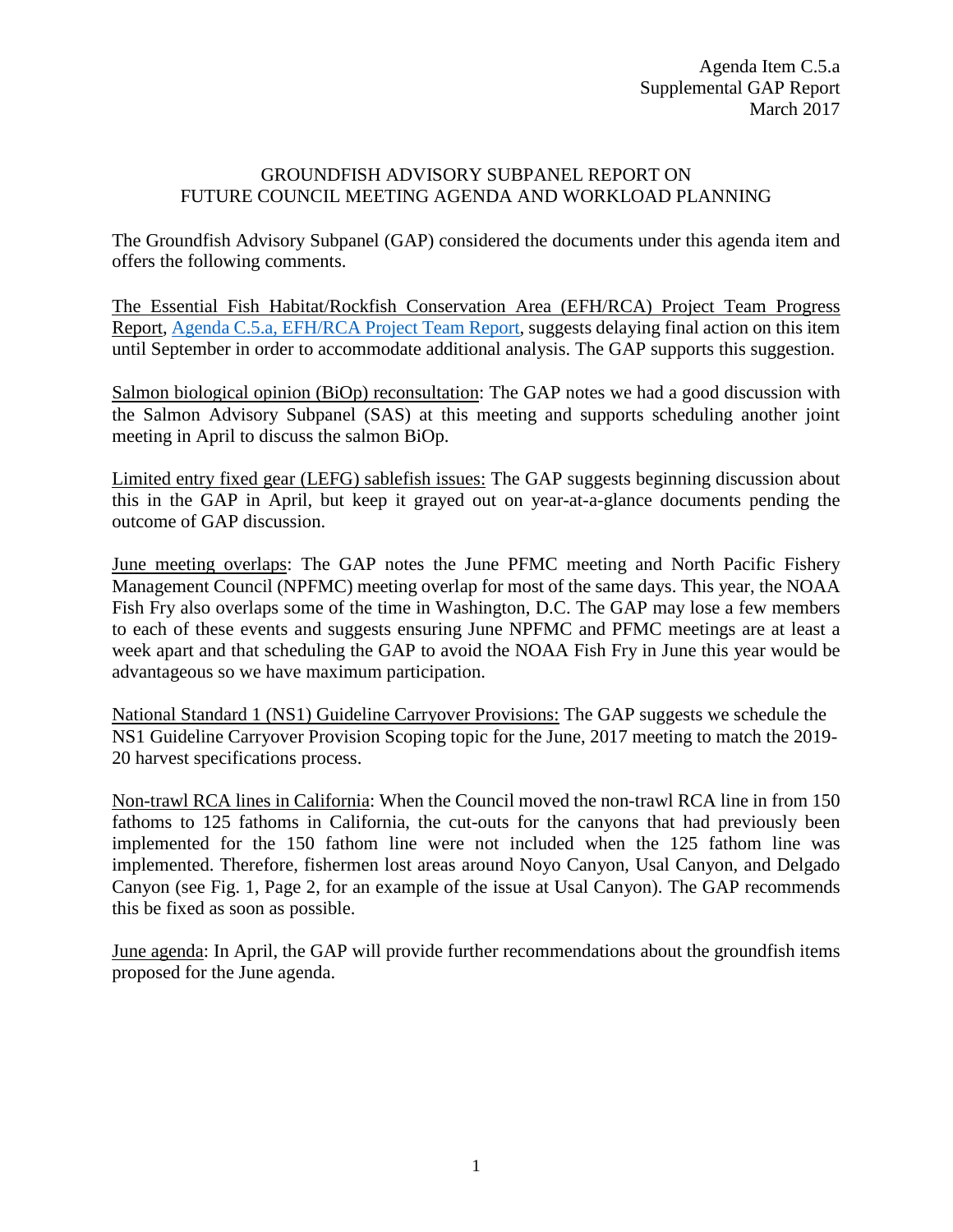## GROUNDFISH ADVISORY SUBPANEL REPORT ON FUTURE COUNCIL MEETING AGENDA AND WORKLOAD PLANNING

The Groundfish Advisory Subpanel (GAP) considered the documents under this agenda item and offers the following comments.

The Essential Fish Habitat/Rockfish Conservation Area (EFH/RCA) Project Team Progress Report, [Agenda C.5.a, EFH/RCA Project Team Report,](http://www.pcouncil.org/wp-content/uploads/2017/03/C5a_Sup_EFH-RCA_Project_Team_Rpt_Mar2017BB.pdf) suggests delaying final action on this item until September in order to accommodate additional analysis. The GAP supports this suggestion.

Salmon biological opinion (BiOp) reconsultation: The GAP notes we had a good discussion with the Salmon Advisory Subpanel (SAS) at this meeting and supports scheduling another joint meeting in April to discuss the salmon BiOp.

Limited entry fixed gear (LEFG) sablefish issues: The GAP suggests beginning discussion about this in the GAP in April, but keep it grayed out on year-at-a-glance documents pending the outcome of GAP discussion.

June meeting overlaps: The GAP notes the June PFMC meeting and North Pacific Fishery Management Council (NPFMC) meeting overlap for most of the same days. This year, the NOAA Fish Fry also overlaps some of the time in Washington, D.C. The GAP may lose a few members to each of these events and suggests ensuring June NPFMC and PFMC meetings are at least a week apart and that scheduling the GAP to avoid the NOAA Fish Fry in June this year would be advantageous so we have maximum participation.

National Standard 1 (NS1) Guideline Carryover Provisions: The GAP suggests we schedule the NS1 Guideline Carryover Provision Scoping topic for the June, 2017 meeting to match the 2019- 20 harvest specifications process.

Non-trawl RCA lines in California: When the Council moved the non-trawl RCA line in from 150 fathoms to 125 fathoms in California, the cut-outs for the canyons that had previously been implemented for the 150 fathom line were not included when the 125 fathom line was implemented. Therefore, fishermen lost areas around Noyo Canyon, Usal Canyon, and Delgado Canyon (see Fig. 1, Page 2, for an example of the issue at Usal Canyon). The GAP recommends this be fixed as soon as possible.

June agenda: In April, the GAP will provide further recommendations about the groundfish items proposed for the June agenda.